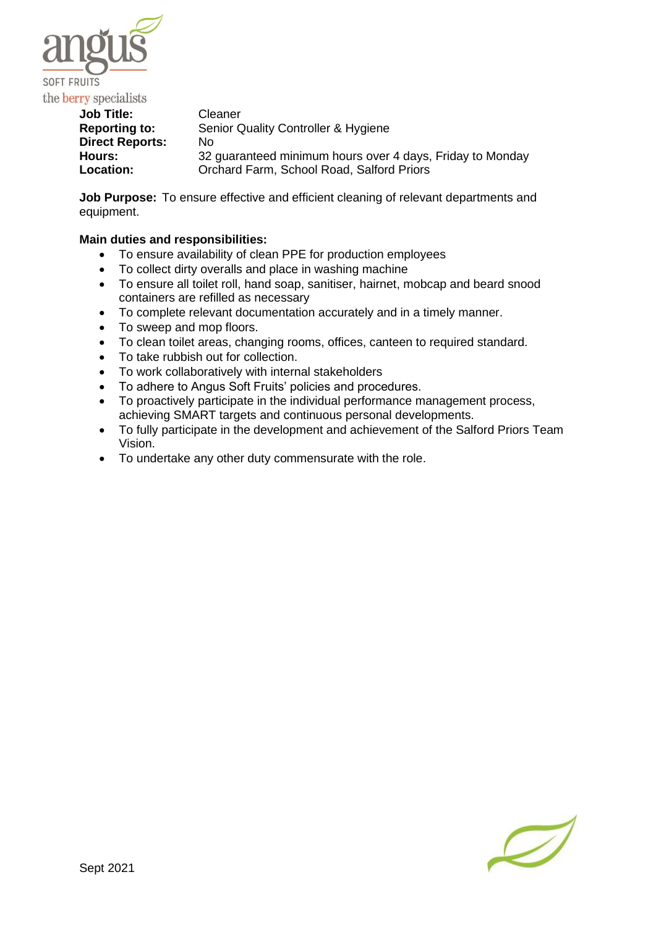

**Job Title:** Cleaner **Reporting to:** Senior Quality Controller & Hygiene **Direct Reports:** No **Hours:** 32 guaranteed minimum hours over 4 days, Friday to Monday **Location:** Orchard Farm, School Road, Salford Priors

**Job Purpose:** To ensure effective and efficient cleaning of relevant departments and equipment.

# **Main duties and responsibilities:**

- To ensure availability of clean PPE for production employees
- To collect dirty overalls and place in washing machine
- To ensure all toilet roll, hand soap, sanitiser, hairnet, mobcap and beard snood containers are refilled as necessary
- To complete relevant documentation accurately and in a timely manner.
- To sweep and mop floors.
- To clean toilet areas, changing rooms, offices, canteen to required standard.
- To take rubbish out for collection.
- To work collaboratively with internal stakeholders
- To adhere to Angus Soft Fruits' policies and procedures.
- To proactively participate in the individual performance management process, achieving SMART targets and continuous personal developments.
- To fully participate in the development and achievement of the Salford Priors Team Vision.
- To undertake any other duty commensurate with the role.

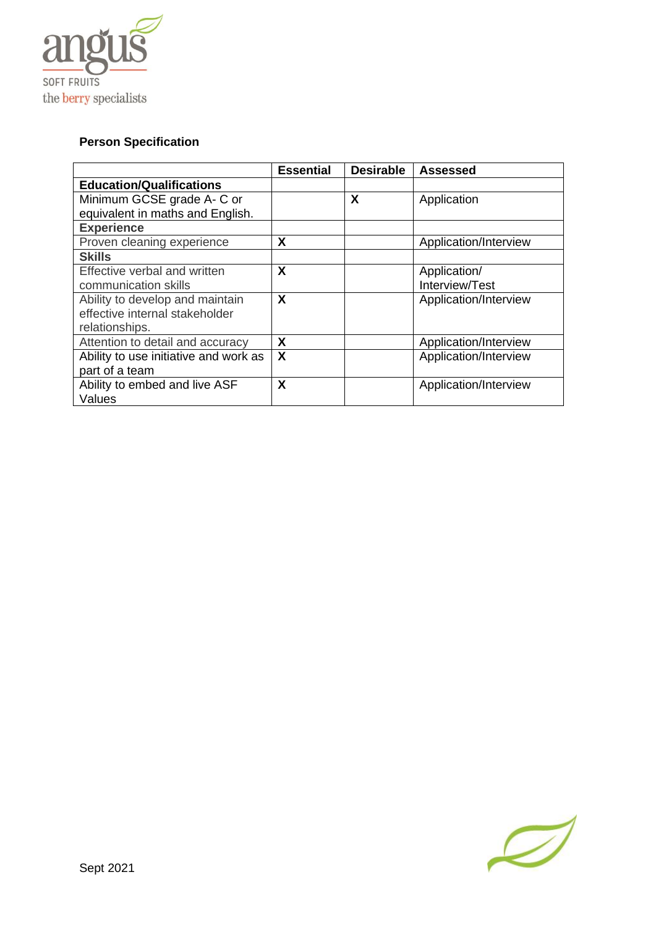

# **Person Specification**

|                                       | <b>Essential</b>          | <b>Desirable</b> | Assessed              |
|---------------------------------------|---------------------------|------------------|-----------------------|
| <b>Education/Qualifications</b>       |                           |                  |                       |
| Minimum GCSE grade A- C or            |                           | X                | Application           |
| equivalent in maths and English.      |                           |                  |                       |
| <b>Experience</b>                     |                           |                  |                       |
| Proven cleaning experience            | X                         |                  | Application/Interview |
| <b>Skills</b>                         |                           |                  |                       |
| Effective verbal and written          | X                         |                  | Application/          |
| communication skills                  |                           |                  | Interview/Test        |
| Ability to develop and maintain       | X                         |                  | Application/Interview |
| effective internal stakeholder        |                           |                  |                       |
| relationships.                        |                           |                  |                       |
| Attention to detail and accuracy      | X                         |                  | Application/Interview |
| Ability to use initiative and work as | $\boldsymbol{\mathsf{X}}$ |                  | Application/Interview |
| part of a team                        |                           |                  |                       |
| Ability to embed and live ASF         | X                         |                  | Application/Interview |
| Values                                |                           |                  |                       |

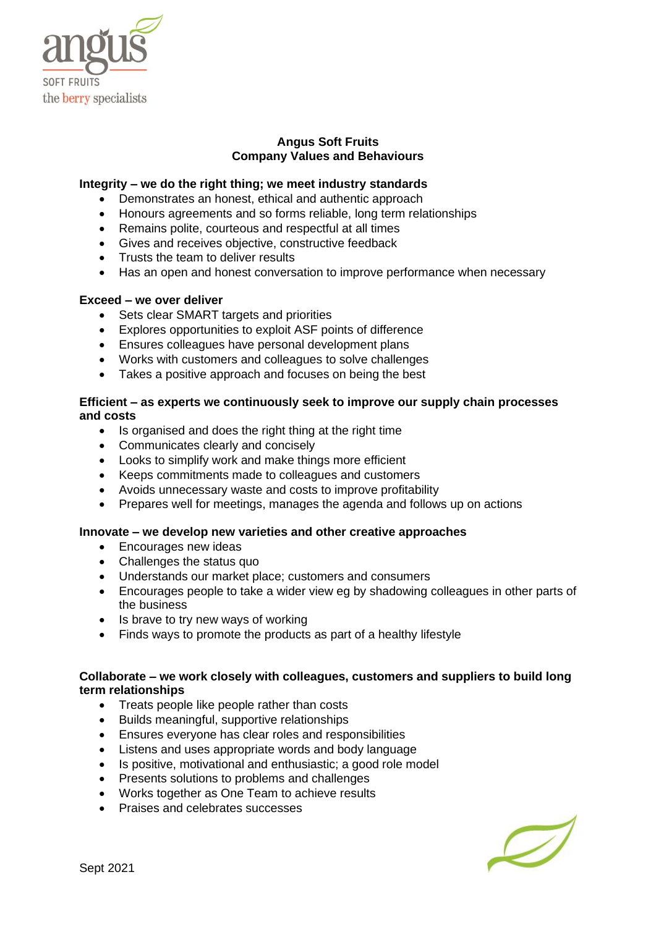

## **Angus Soft Fruits Company Values and Behaviours**

## **Integrity – we do the right thing; we meet industry standards**

- Demonstrates an honest, ethical and authentic approach
- Honours agreements and so forms reliable, long term relationships
- Remains polite, courteous and respectful at all times
- Gives and receives objective, constructive feedback
- Trusts the team to deliver results
- Has an open and honest conversation to improve performance when necessary

#### **Exceed – we over deliver**

- Sets clear SMART targets and priorities
- Explores opportunities to exploit ASF points of difference
- Ensures colleagues have personal development plans
- Works with customers and colleagues to solve challenges
- Takes a positive approach and focuses on being the best

## **Efficient – as experts we continuously seek to improve our supply chain processes and costs**

- Is organised and does the right thing at the right time
- Communicates clearly and concisely
- Looks to simplify work and make things more efficient
- Keeps commitments made to colleagues and customers
- Avoids unnecessary waste and costs to improve profitability
- Prepares well for meetings, manages the agenda and follows up on actions

#### **Innovate – we develop new varieties and other creative approaches**

- Encourages new ideas
- Challenges the status quo
- Understands our market place; customers and consumers
- Encourages people to take a wider view eg by shadowing colleagues in other parts of the business
- Is brave to try new ways of working
- Finds ways to promote the products as part of a healthy lifestyle

## **Collaborate – we work closely with colleagues, customers and suppliers to build long term relationships**

- Treats people like people rather than costs
- Builds meaningful, supportive relationships
- Ensures everyone has clear roles and responsibilities
- Listens and uses appropriate words and body language
- Is positive, motivational and enthusiastic; a good role model
- Presents solutions to problems and challenges
- Works together as One Team to achieve results
- Praises and celebrates successes